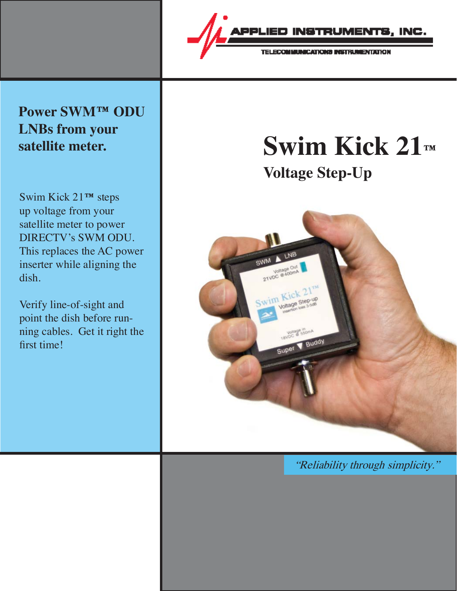

### **Power SWM™ ODU LNBs from your**

Swim Kick 21**™** steps up voltage from your satellite meter to power DIRECTV's SWM ODU. This replaces the AC power inserter while aligning the dish.

Verify line-of-sight and point the dish before running cables. Get it right the first time!

## **satellite meter. Swim Kick 21™ Voltage Step-Up**

21VDC Voltage Buddy Super

"Reliability through simplicity."